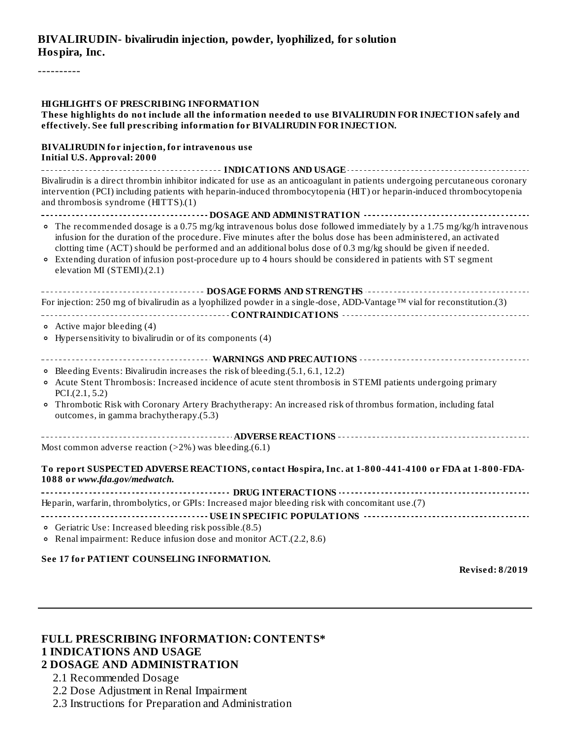## **BIVALIRUDIN- bivalirudin injection, powder, lyophilized, for solution Hospira, Inc.**

----------

| <b>HIGHLIGHTS OF PRESCRIBING INFORMATION</b><br>These highlights do not include all the information needed to use BIVALIRUDIN FOR INJECTION safely and<br>effectively. See full prescribing information for BIVALIRUDIN FOR INJECTION.                                                                                                                                                                                                                                                                                                                                                            |  |  |  |  |
|---------------------------------------------------------------------------------------------------------------------------------------------------------------------------------------------------------------------------------------------------------------------------------------------------------------------------------------------------------------------------------------------------------------------------------------------------------------------------------------------------------------------------------------------------------------------------------------------------|--|--|--|--|
| <b>BIVALIRUDIN</b> for injection, for intravenous use<br><b>Initial U.S. Approval: 2000</b>                                                                                                                                                                                                                                                                                                                                                                                                                                                                                                       |  |  |  |  |
| Bivalirudin is a direct thrombin inhibitor indicated for use as an anticoagulant in patients undergoing percutaneous coronary<br>intervention (PCI) including patients with heparin-induced thrombocytopenia (HIT) or heparin-induced thrombocytopenia<br>and thrombosis syndrome (HITTS).(1)                                                                                                                                                                                                                                                                                                     |  |  |  |  |
| -------------------------------------DOSAGE AND ADMINISTRATION -----------------------<br>• The recommended dosage is a 0.75 mg/kg intravenous bolus dose followed immediately by a 1.75 mg/kg/h intravenous<br>infusion for the duration of the procedure. Five minutes after the bolus dose has been administered, an activated<br>clotting time (ACT) should be performed and an additional bolus dose of 0.3 mg/kg should be given if needed.<br>• Extending duration of infusion post-procedure up to 4 hours should be considered in patients with ST segment<br>elevation MI (STEMI).(2.1) |  |  |  |  |
| ------------------------------------ DOSAGE FORMS AND STRENGTHS ------------------------------<br>For injection: 250 mg of bivalirudin as a lyophilized powder in a single-dose, ADD-Vantage™ vial for reconstitution.(3)<br>$\circ$ Active major bleeding (4)<br>• Hypersensitivity to bivalirudin or of its components (4)                                                                                                                                                                                                                                                                      |  |  |  |  |
| · Bleeding Events: Bivalirudin increases the risk of bleeding.(5.1, 6.1, 12.2)<br>• Acute Stent Thrombosis: Increased incidence of acute stent thrombosis in STEMI patients undergoing primary<br>PCI.(2.1, 5.2)<br>• Thrombotic Risk with Coronary Artery Brachytherapy: An increased risk of thrombus formation, including fatal<br>outcomes, in gamma brachytherapy.(5.3)                                                                                                                                                                                                                      |  |  |  |  |
| Most common adverse reaction $(>2\%)$ was bleeding.(6.1)                                                                                                                                                                                                                                                                                                                                                                                                                                                                                                                                          |  |  |  |  |
| To report SUSPECTED ADVERSE REACTIONS, contact Hospira, Inc. at 1-800-441-4100 or FDA at 1-800-FDA-<br>1088 or www.fda.gov/medwatch.                                                                                                                                                                                                                                                                                                                                                                                                                                                              |  |  |  |  |
| Heparin, warfarin, thrombolytics, or GPIs: Increased major bleeding risk with concomitant use.(7)                                                                                                                                                                                                                                                                                                                                                                                                                                                                                                 |  |  |  |  |
| o Geriatric Use: Increased bleeding risk possible.(8.5)<br>o Renal impairment: Reduce infusion dose and monitor ACT.(2.2, 8.6)                                                                                                                                                                                                                                                                                                                                                                                                                                                                    |  |  |  |  |

#### **See 17 for PATIENT COUNSELING INFORMATION.**

**Revised: 8/2019**

## **FULL PRESCRIBING INFORMATION: CONTENTS\* 1 INDICATIONS AND USAGE**

#### **2 DOSAGE AND ADMINISTRATION**

- 2.1 Recommended Dosage
- 2.2 Dose Adjustment in Renal Impairment
- 2.3 Instructions for Preparation and Administration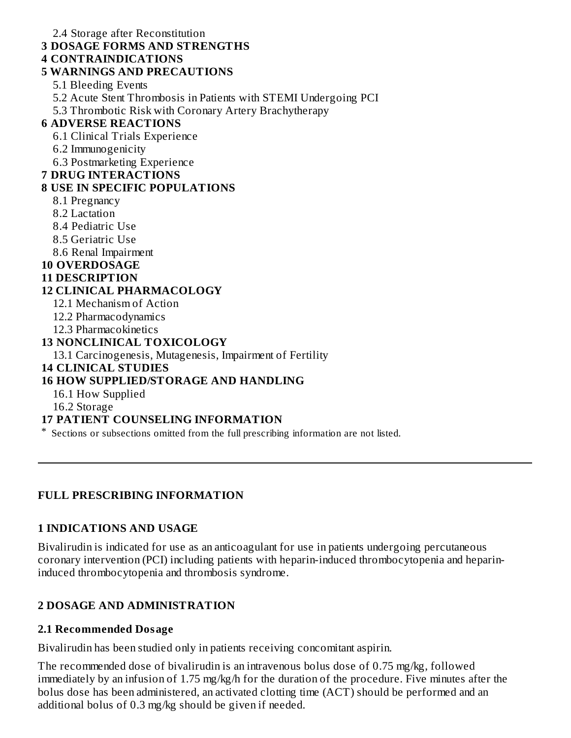2.4 Storage after Reconstitution **3 DOSAGE FORMS AND STRENGTHS 4 CONTRAINDICATIONS 5 WARNINGS AND PRECAUTIONS** 5.1 Bleeding Events 5.2 Acute Stent Thrombosis in Patients with STEMI Undergoing PCI 5.3 Thrombotic Risk with Coronary Artery Brachytherapy **6 ADVERSE REACTIONS** 6.1 Clinical Trials Experience 6.2 Immunogenicity 6.3 Postmarketing Experience **7 DRUG INTERACTIONS 8 USE IN SPECIFIC POPULATIONS** 8.1 Pregnancy 8.2 Lactation 8.4 Pediatric Use 8.5 Geriatric Use 8.6 Renal Impairment **10 OVERDOSAGE 11 DESCRIPTION 12 CLINICAL PHARMACOLOGY** 12.1 Mechanism of Action 12.2 Pharmacodynamics 12.3 Pharmacokinetics **13 NONCLINICAL TOXICOLOGY** 13.1 Carcinogenesis, Mutagenesis, Impairment of Fertility **14 CLINICAL STUDIES 16 HOW SUPPLIED/STORAGE AND HANDLING** 16.1 How Supplied 16.2 Storage

#### **17 PATIENT COUNSELING INFORMATION**

\* Sections or subsections omitted from the full prescribing information are not listed.

#### **FULL PRESCRIBING INFORMATION**

#### **1 INDICATIONS AND USAGE**

Bivalirudin is indicated for use as an anticoagulant for use in patients undergoing percutaneous coronary intervention (PCI) including patients with heparin-induced thrombocytopenia and heparininduced thrombocytopenia and thrombosis syndrome.

#### **2 DOSAGE AND ADMINISTRATION**

#### **2.1 Recommended Dosage**

Bivalirudin has been studied only in patients receiving concomitant aspirin.

The recommended dose of bivalirudin is an intravenous bolus dose of 0.75 mg/kg, followed immediately by an infusion of 1.75 mg/kg/h for the duration of the procedure. Five minutes after the bolus dose has been administered, an activated clotting time (ACT) should be performed and an additional bolus of 0.3 mg/kg should be given if needed.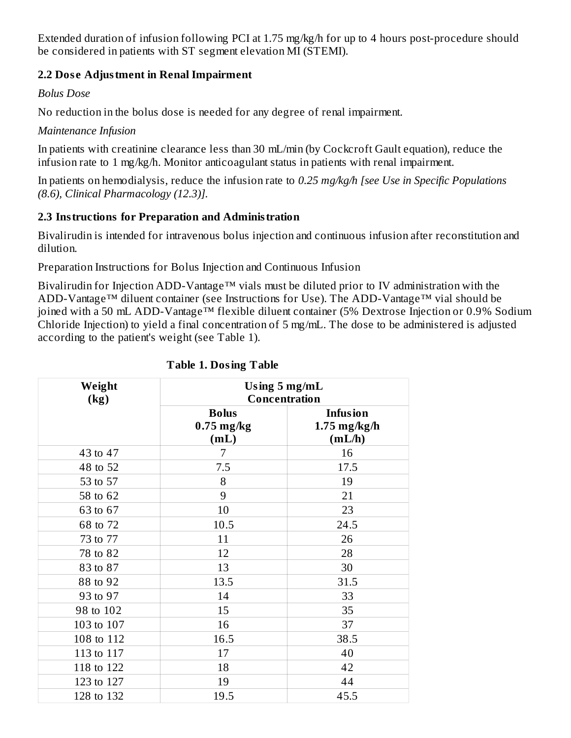Extended duration of infusion following PCI at 1.75 mg/kg/h for up to 4 hours post-procedure should be considered in patients with ST segment elevation MI (STEMI).

## **2.2 Dos e Adjustment in Renal Impairment**

*Bolus Dose*

No reduction in the bolus dose is needed for any degree of renal impairment.

*Maintenance Infusion*

In patients with creatinine clearance less than 30 mL/min (by Cockcroft Gault equation), reduce the infusion rate to 1 mg/kg/h. Monitor anticoagulant status in patients with renal impairment.

In patients on hemodialysis, reduce the infusion rate to *0.25 mg/kg/h [see Use in Specific Populations (8.6), Clinical Pharmacology (12.3)].*

## **2.3 Instructions for Preparation and Administration**

Bivalirudin is intended for intravenous bolus injection and continuous infusion after reconstitution and dilution.

Preparation Instructions for Bolus Injection and Continuous Infusion

Bivalirudin for Injection ADD-Vantage™ vials must be diluted prior to IV administration with the ADD-Vantage™ diluent container (see Instructions for Use). The ADD-Vantage™ vial should be joined with a 50 mL ADD-Vantage™ flexible diluent container (5% Dextrose Injection or 0.9% Sodium Chloride Injection) to yield a final concentration of 5 mg/mL. The dose to be administered is adjusted according to the patient's weight (see Table 1).

| Weight<br>(kg) |                                      | Using $5 \text{ mg/mL}$<br>Concentration    |  |  |
|----------------|--------------------------------------|---------------------------------------------|--|--|
|                | <b>Bolus</b><br>$0.75$ mg/kg<br>(mL) | <b>Infusion</b><br>$1.75$ mg/kg/h<br>(mL/h) |  |  |
| 43 to 47       | 7                                    | 16                                          |  |  |
| 48 to 52       | 7.5                                  | 17.5                                        |  |  |
| 53 to 57       | 8                                    | 19                                          |  |  |
| 58 to 62       | 9                                    | 21                                          |  |  |
| 63 to 67       | 10                                   | 23                                          |  |  |
| 68 to 72       | 10.5                                 | 24.5                                        |  |  |
| 73 to 77       | 11                                   | 26                                          |  |  |
| 78 to 82       | 12                                   | 28                                          |  |  |
| 83 to 87       | 13                                   | 30                                          |  |  |
| 88 to 92       | 13.5                                 | 31.5                                        |  |  |
| 93 to 97       | 14                                   | 33                                          |  |  |
| 98 to 102      | 15                                   | 35                                          |  |  |
| 103 to 107     | 16                                   | 37                                          |  |  |
| 108 to 112     | 16.5                                 | 38.5                                        |  |  |
| 113 to 117     | 17                                   | 40                                          |  |  |
| 118 to 122     | 18                                   | 42                                          |  |  |
| 123 to 127     | 19                                   | 44                                          |  |  |
| 128 to 132     | 19.5                                 | 45.5                                        |  |  |

## **Table 1. Dosing Table**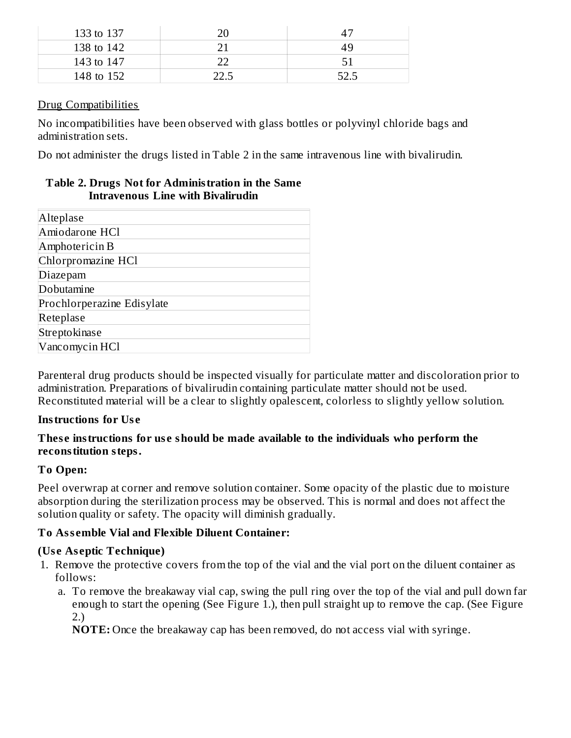| 133 to 137 |    |
|------------|----|
| 138 to 142 | 49 |
| 143 to 147 | 51 |
| 148 to 152 |    |

#### Drug Compatibilities

No incompatibilities have been observed with glass bottles or polyvinyl chloride bags and administration sets.

Do not administer the drugs listed in Table 2 in the same intravenous line with bivalirudin.

#### **Table 2. Drugs Not for Administration in the Same Intravenous Line with Bivalirudin**

| Alteplase                  |
|----------------------------|
| Amiodarone HCl             |
| Amphotericin B             |
| Chlorpromazine HCl         |
| Diazepam                   |
| Dobutamine                 |
| Prochlorperazine Edisylate |
| Reteplase                  |
| Streptokinase              |
| Vancomycin HCl             |

Parenteral drug products should be inspected visually for particulate matter and discoloration prior to administration. Preparations of bivalirudin containing particulate matter should not be used. Reconstituted material will be a clear to slightly opalescent, colorless to slightly yellow solution.

## **Instructions for Us e**

## **Thes e instructions for us e should be made available to the individuals who perform the reconstitution steps.**

## **To Open:**

Peel overwrap at corner and remove solution container. Some opacity of the plastic due to moisture absorption during the sterilization process may be observed. This is normal and does not affect the solution quality or safety. The opacity will diminish gradually.

## **To Ass emble Vial and Flexible Diluent Container:**

## **(Us e As eptic Technique)**

- 1. Remove the protective covers from the top of the vial and the vial port on the diluent container as follows:
	- a. To remove the breakaway vial cap, swing the pull ring over the top of the vial and pull down far enough to start the opening (See Figure 1.), then pull straight up to remove the cap. (See Figure 2.)

**NOTE:** Once the breakaway cap has been removed, do not access vial with syringe.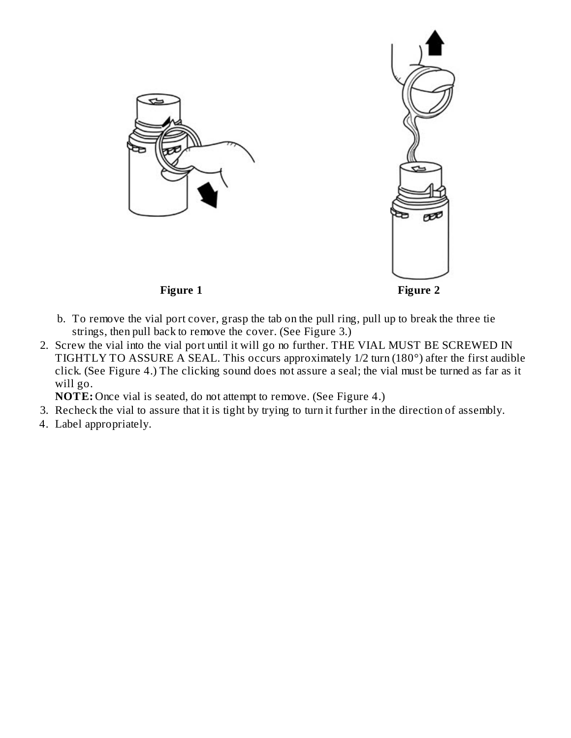



- b. To remove the vial port cover, grasp the tab on the pull ring, pull up to break the three tie strings, then pull back to remove the cover. (See Figure 3.)
- 2. Screw the vial into the vial port until it will go no further. THE VIAL MUST BE SCREWED IN TIGHTLY TO ASSURE A SEAL. This occurs approximately 1/2 turn (180°) after the first audible click. (See Figure 4.) The clicking sound does not assure a seal; the vial must be turned as far as it will go.
	- **NOTE:** Once vial is seated, do not attempt to remove. (See Figure 4.)
- 3. Recheck the vial to assure that it is tight by trying to turn it further in the direction of assembly.
- 4. Label appropriately.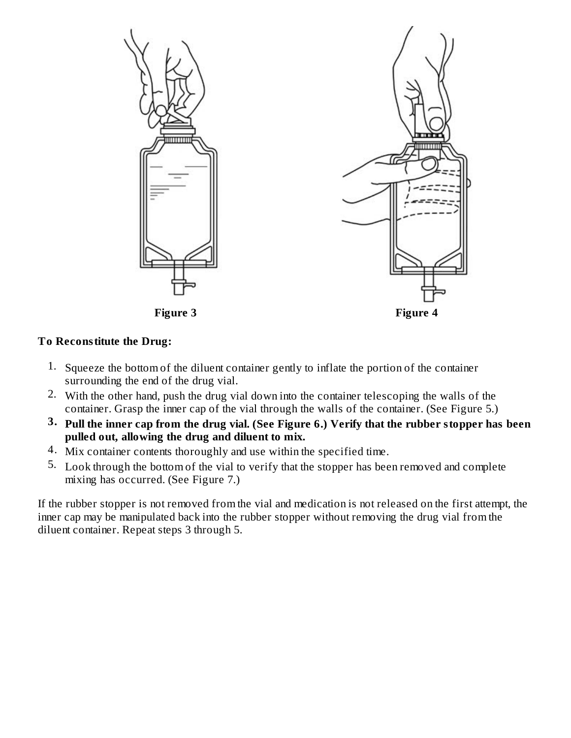

## **To Reconstitute the Drug:**

- 1. Squeeze the bottom of the diluent container gently to inflate the portion of the container surrounding the end of the drug vial.
- 2. With the other hand, push the drug vial down into the container telescoping the walls of the container. Grasp the inner cap of the vial through the walls of the container. (See Figure 5.)
- $3.$  Pull the inner cap from the drug vial. (See Figure 6.) Verify that the rubber stopper has been **pulled out, allowing the drug and diluent to mix.**
- 4. Mix container contents thoroughly and use within the specified time.
- 5. Look through the bottom of the vial to verify that the stopper has been removed and complete mixing has occurred. (See Figure 7.)

If the rubber stopper is not removed from the vial and medication is not released on the first attempt, the inner cap may be manipulated back into the rubber stopper without removing the drug vial from the diluent container. Repeat steps 3 through 5.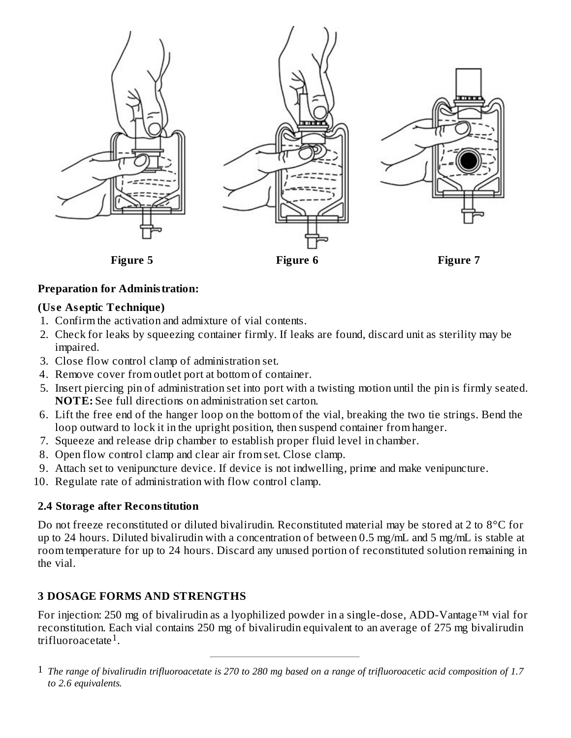

#### **Preparation for Administration:**

#### **(Us e As eptic Technique)**

- 1. Confirm the activation and admixture of vial contents.
- 2. Check for leaks by squeezing container firmly. If leaks are found, discard unit as sterility may be impaired.
- 3. Close flow control clamp of administration set.
- 4. Remove cover from outlet port at bottom of container.
- 5. Insert piercing pin of administration set into port with a twisting motion until the pin is firmly seated. **NOTE:** See full directions on administration set carton.
- 6. Lift the free end of the hanger loop on the bottom of the vial, breaking the two tie strings. Bend the loop outward to lock it in the upright position, then suspend container from hanger.
- 7. Squeeze and release drip chamber to establish proper fluid level in chamber.
- 8. Open flow control clamp and clear air from set. Close clamp.
- 9. Attach set to venipuncture device. If device is not indwelling, prime and make venipuncture.
- 10. Regulate rate of administration with flow control clamp.

#### **2.4 Storage after Reconstitution**

Do not freeze reconstituted or diluted bivalirudin. Reconstituted material may be stored at 2 to 8°C for up to 24 hours. Diluted bivalirudin with a concentration of between 0.5 mg/mL and 5 mg/mL is stable at room temperature for up to 24 hours. Discard any unused portion of reconstituted solution remaining in the vial.

#### **3 DOSAGE FORMS AND STRENGTHS**

For injection: 250 mg of bivalirudin as a lyophilized powder in a single-dose, ADD-Vantage™ vial for reconstitution. Each vial contains 250 mg of bivalirudin equivalent to an average of 275 mg bivalirudin trifluoroacetate $^1\!\!$ .

 $1$  The range of bivalirudin trifluoroacetate is 270 to 280 mg based on a range of trifluoroacetic acid composition of 1.7 *to 2.6 equivalents.*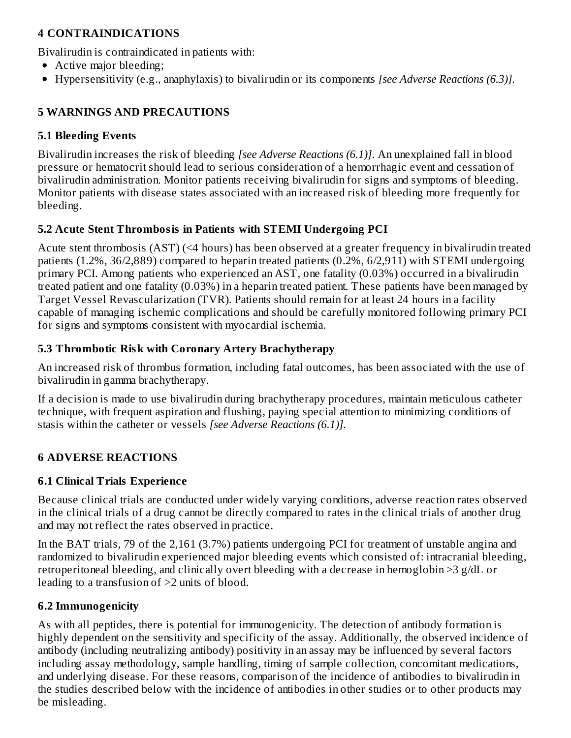## **4 CONTRAINDICATIONS**

Bivalirudin is contraindicated in patients with:

- Active major bleeding;
- Hypersensitivity (e.g., anaphylaxis) to bivalirudin or its components *[see Adverse Reactions (6.3)].*

## **5 WARNINGS AND PRECAUTIONS**

## **5.1 Bleeding Events**

Bivalirudin increases the risk of bleeding *[see Adverse Reactions (6.1)]*. An unexplained fall in blood pressure or hematocrit should lead to serious consideration of a hemorrhagic event and cessation of bivalirudin administration. Monitor patients receiving bivalirudin for signs and symptoms of bleeding. Monitor patients with disease states associated with an increased risk of bleeding more frequently for bleeding.

## **5.2 Acute Stent Thrombosis in Patients with STEMI Undergoing PCI**

Acute stent thrombosis (AST) (<4 hours) has been observed at a greater frequency in bivalirudin treated patients (1.2%, 36/2,889) compared to heparin treated patients (0.2%, 6/2,911) with STEMI undergoing primary PCI. Among patients who experienced an AST, one fatality (0.03%) occurred in a bivalirudin treated patient and one fatality (0.03%) in a heparin treated patient. These patients have been managed by Target Vessel Revascularization (TVR). Patients should remain for at least 24 hours in a facility capable of managing ischemic complications and should be carefully monitored following primary PCI for signs and symptoms consistent with myocardial ischemia.

## **5.3 Thrombotic Risk with Coronary Artery Brachytherapy**

An increased risk of thrombus formation, including fatal outcomes, has been associated with the use of bivalirudin in gamma brachytherapy.

If a decision is made to use bivalirudin during brachytherapy procedures, maintain meticulous catheter technique, with frequent aspiration and flushing, paying special attention to minimizing conditions of stasis within the catheter or vessels *[see Adverse Reactions (6.1)].*

## **6 ADVERSE REACTIONS**

## **6.1 Clinical Trials Experience**

Because clinical trials are conducted under widely varying conditions, adverse reaction rates observed in the clinical trials of a drug cannot be directly compared to rates in the clinical trials of another drug and may not reflect the rates observed in practice.

In the BAT trials, 79 of the 2,161 (3.7%) patients undergoing PCI for treatment of unstable angina and randomized to bivalirudin experienced major bleeding events which consisted of: intracranial bleeding, retroperitoneal bleeding, and clinically overt bleeding with a decrease in hemoglobin >3 g/dL or leading to a transfusion of >2 units of blood.

## **6.2 Immunogenicity**

As with all peptides, there is potential for immunogenicity. The detection of antibody formation is highly dependent on the sensitivity and specificity of the assay. Additionally, the observed incidence of antibody (including neutralizing antibody) positivity in an assay may be influenced by several factors including assay methodology, sample handling, timing of sample collection, concomitant medications, and underlying disease. For these reasons, comparison of the incidence of antibodies to bivalirudin in the studies described below with the incidence of antibodies in other studies or to other products may be misleading.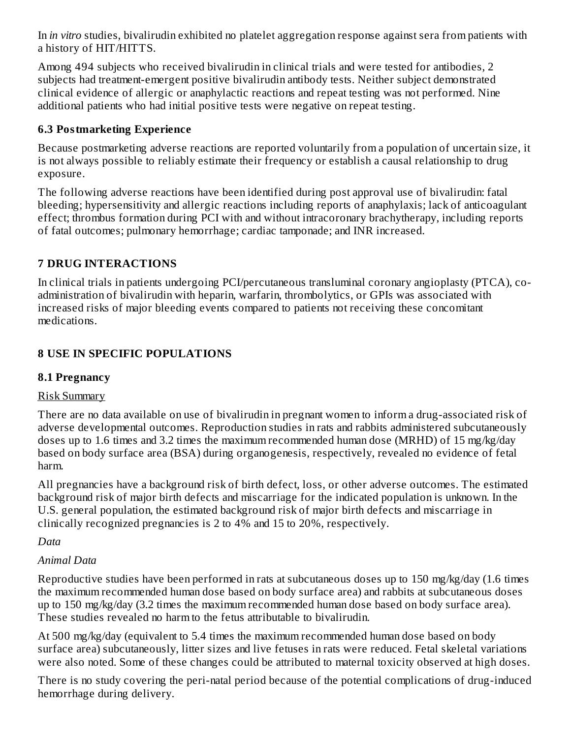In *in vitro* studies, bivalirudin exhibited no platelet aggregation response against sera from patients with a history of HIT/HITTS.

Among 494 subjects who received bivalirudin in clinical trials and were tested for antibodies, 2 subjects had treatment-emergent positive bivalirudin antibody tests. Neither subject demonstrated clinical evidence of allergic or anaphylactic reactions and repeat testing was not performed. Nine additional patients who had initial positive tests were negative on repeat testing.

## **6.3 Postmarketing Experience**

Because postmarketing adverse reactions are reported voluntarily from a population of uncertain size, it is not always possible to reliably estimate their frequency or establish a causal relationship to drug exposure.

The following adverse reactions have been identified during post approval use of bivalirudin: fatal bleeding; hypersensitivity and allergic reactions including reports of anaphylaxis; lack of anticoagulant effect; thrombus formation during PCI with and without intracoronary brachytherapy, including reports of fatal outcomes; pulmonary hemorrhage; cardiac tamponade; and INR increased.

## **7 DRUG INTERACTIONS**

In clinical trials in patients undergoing PCI/percutaneous transluminal coronary angioplasty (PTCA), coadministration of bivalirudin with heparin, warfarin, thrombolytics, or GPIs was associated with increased risks of major bleeding events compared to patients not receiving these concomitant medications.

## **8 USE IN SPECIFIC POPULATIONS**

## **8.1 Pregnancy**

## Risk Summary

There are no data available on use of bivalirudin in pregnant women to inform a drug-associated risk of adverse developmental outcomes. Reproduction studies in rats and rabbits administered subcutaneously doses up to 1.6 times and 3.2 times the maximum recommended human dose (MRHD) of 15 mg/kg/day based on body surface area (BSA) during organogenesis, respectively, revealed no evidence of fetal harm.

All pregnancies have a background risk of birth defect, loss, or other adverse outcomes. The estimated background risk of major birth defects and miscarriage for the indicated population is unknown. In the U.S. general population, the estimated background risk of major birth defects and miscarriage in clinically recognized pregnancies is 2 to 4% and 15 to 20%, respectively.

## *Data*

## *Animal Data*

Reproductive studies have been performed in rats at subcutaneous doses up to 150 mg/kg/day (1.6 times the maximum recommended human dose based on body surface area) and rabbits at subcutaneous doses up to 150 mg/kg/day (3.2 times the maximum recommended human dose based on body surface area). These studies revealed no harm to the fetus attributable to bivalirudin.

At 500 mg/kg/day (equivalent to 5.4 times the maximum recommended human dose based on body surface area) subcutaneously, litter sizes and live fetuses in rats were reduced. Fetal skeletal variations were also noted. Some of these changes could be attributed to maternal toxicity observed at high doses.

There is no study covering the peri-natal period because of the potential complications of drug-induced hemorrhage during delivery.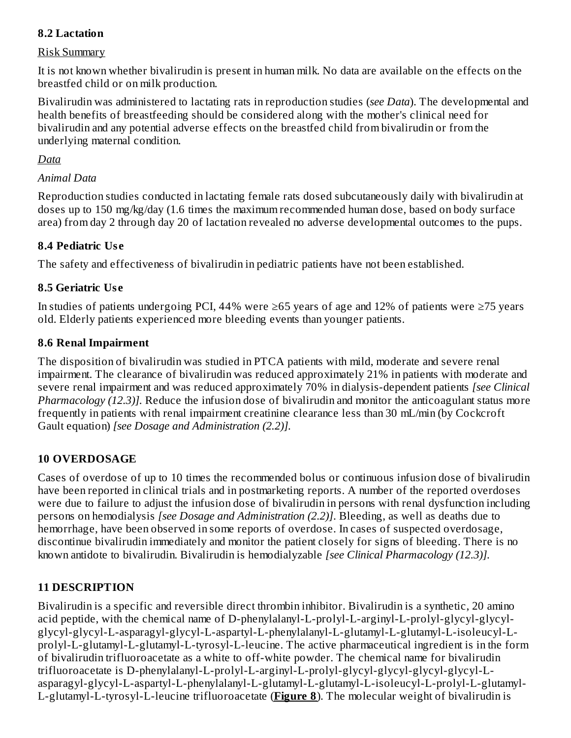## **8.2 Lactation**

#### Risk Summary

It is not known whether bivalirudin is present in human milk. No data are available on the effects on the breastfed child or on milk production.

Bivalirudin was administered to lactating rats in reproduction studies (*see Data*). The developmental and health benefits of breastfeeding should be considered along with the mother's clinical need for bivalirudin and any potential adverse effects on the breastfed child from bivalirudin or from the underlying maternal condition.

## *Data*

## *Animal Data*

Reproduction studies conducted in lactating female rats dosed subcutaneously daily with bivalirudin at doses up to 150 mg/kg/day (1.6 times the maximum recommended human dose, based on body surface area) from day 2 through day 20 of lactation revealed no adverse developmental outcomes to the pups.

## **8.4 Pediatric Us e**

The safety and effectiveness of bivalirudin in pediatric patients have not been established.

## **8.5 Geriatric Us e**

In studies of patients undergoing PCI, 44% were ≥65 years of age and 12% of patients were ≥75 years old. Elderly patients experienced more bleeding events than younger patients.

#### **8.6 Renal Impairment**

The disposition of bivalirudin was studied in PTCA patients with mild, moderate and severe renal impairment. The clearance of bivalirudin was reduced approximately 21% in patients with moderate and severe renal impairment and was reduced approximately 70% in dialysis-dependent patients *[see Clinical Pharmacology (12.3)].* Reduce the infusion dose of bivalirudin and monitor the anticoagulant status more frequently in patients with renal impairment creatinine clearance less than 30 mL/min (by Cockcroft Gault equation) *[see Dosage and Administration (2.2)].*

## **10 OVERDOSAGE**

Cases of overdose of up to 10 times the recommended bolus or continuous infusion dose of bivalirudin have been reported in clinical trials and in postmarketing reports. A number of the reported overdoses were due to failure to adjust the infusion dose of bivalirudin in persons with renal dysfunction including persons on hemodialysis *[see Dosage and Administration (2.2)]*. Bleeding, as well as deaths due to hemorrhage, have been observed in some reports of overdose. In cases of suspected overdosage, discontinue bivalirudin immediately and monitor the patient closely for signs of bleeding. There is no known antidote to bivalirudin. Bivalirudin is hemodialyzable *[see Clinical Pharmacology (12.3)].*

## **11 DESCRIPTION**

Bivalirudin is a specific and reversible direct thrombin inhibitor. Bivalirudin is a synthetic, 20 amino acid peptide, with the chemical name of D-phenylalanyl-L-prolyl-L-arginyl-L-prolyl-glycyl-glycylglycyl-glycyl-L-asparagyl-glycyl-L-aspartyl-L-phenylalanyl-L-glutamyl-L-glutamyl-L-isoleucyl-Lprolyl-L-glutamyl-L-glutamyl-L-tyrosyl-L-leucine. The active pharmaceutical ingredient is in the form of bivalirudin trifluoroacetate as a white to off-white powder. The chemical name for bivalirudin trifluoroacetate is D-phenylalanyl-L-prolyl-L-arginyl-L-prolyl-glycyl-glycyl-glycyl-glycyl-Lasparagyl-glycyl-L-aspartyl-L-phenylalanyl-L-glutamyl-L-glutamyl-L-isoleucyl-L-prolyl-L-glutamyl-L-glutamyl-L-tyrosyl-L-leucine trifluoroacetate (**Figure 8**). The molecular weight of bivalirudin is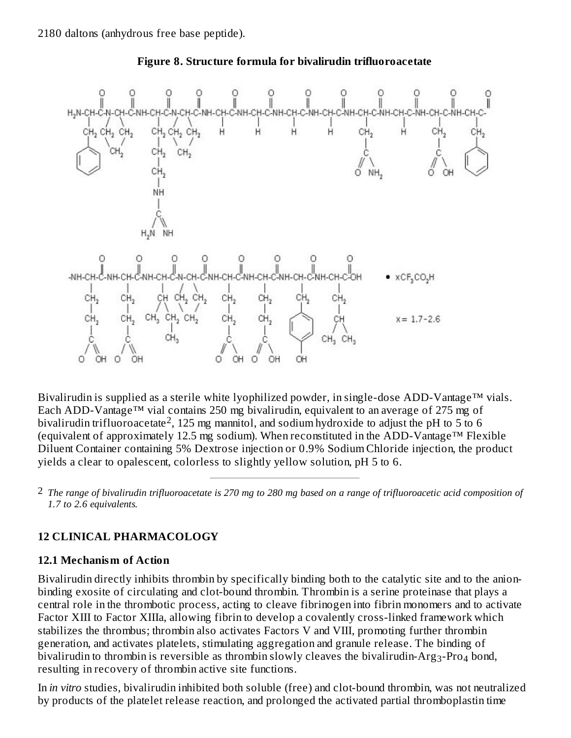



Bivalirudin is supplied as a sterile white lyophilized powder, in single-dose ADD-Vantage™ vials. Each ADD-Vantage™ vial contains 250 mg bivalirudin, equivalent to an average of 275 mg of bivalirudin trifluoroacetate<sup>2</sup>, 125 mg mannitol, and sodium hydroxide to adjust the pH to 5 to 6 (equivalent of approximately 12.5 mg sodium). When reconstituted in the ADD-Vantage™ Flexible Diluent Container containing 5% Dextrose injection or 0.9% Sodium Chloride injection, the product yields a clear to opalescent, colorless to slightly yellow solution, pH 5 to 6.

 $^2$  The range of bivalirudin trifluoroacetate is 270 mg to 280 mg based on a range of trifluoroacetic acid composition of *1.7 to 2.6 equivalents.*

## **12 CLINICAL PHARMACOLOGY**

## **12.1 Mechanism of Action**

Bivalirudin directly inhibits thrombin by specifically binding both to the catalytic site and to the anionbinding exosite of circulating and clot-bound thrombin. Thrombin is a serine proteinase that plays a central role in the thrombotic process, acting to cleave fibrinogen into fibrin monomers and to activate Factor XIII to Factor XIIIa, allowing fibrin to develop a covalently cross-linked framework which stabilizes the thrombus; thrombin also activates Factors V and VIII, promoting further thrombin generation, and activates platelets, stimulating aggregation and granule release. The binding of bivalirudin to thrombin is reversible as thrombin slowly cleaves the bivalirudin-Arg $_3$ -Pro $_4$  bond, resulting in recovery of thrombin active site functions.

In *in vitro* studies, bivalirudin inhibited both soluble (free) and clot-bound thrombin, was not neutralized by products of the platelet release reaction, and prolonged the activated partial thromboplastin time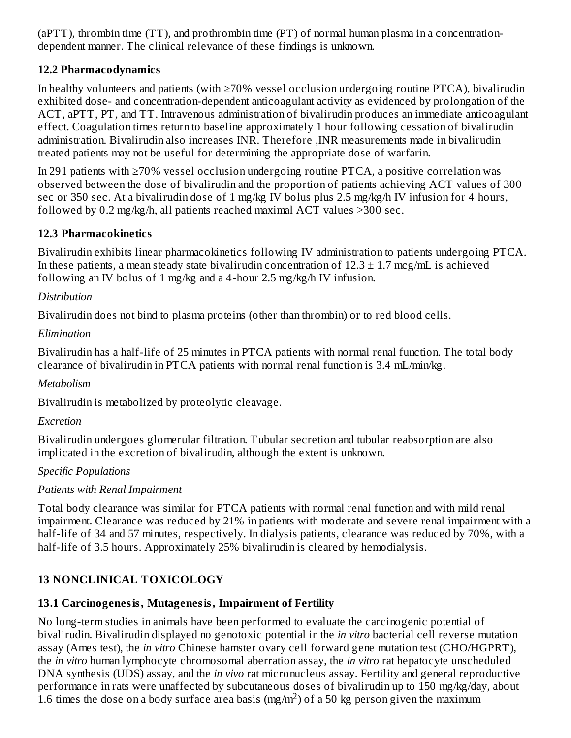(aPTT), thrombin time (TT), and prothrombin time (PT) of normal human plasma in a concentrationdependent manner. The clinical relevance of these findings is unknown.

## **12.2 Pharmacodynamics**

In healthy volunteers and patients (with ≥70% vessel occlusion undergoing routine PTCA), bivalirudin exhibited dose- and concentration-dependent anticoagulant activity as evidenced by prolongation of the ACT, aPTT, PT, and TT. Intravenous administration of bivalirudin produces an immediate anticoagulant effect. Coagulation times return to baseline approximately 1 hour following cessation of bivalirudin administration. Bivalirudin also increases INR. Therefore ,INR measurements made in bivalirudin treated patients may not be useful for determining the appropriate dose of warfarin.

In 291 patients with ≥70% vessel occlusion undergoing routine PTCA, a positive correlation was observed between the dose of bivalirudin and the proportion of patients achieving ACT values of 300 sec or 350 sec. At a bivalirudin dose of 1 mg/kg IV bolus plus 2.5 mg/kg/h IV infusion for 4 hours, followed by 0.2 mg/kg/h, all patients reached maximal ACT values >300 sec.

## **12.3 Pharmacokinetics**

Bivalirudin exhibits linear pharmacokinetics following IV administration to patients undergoing PTCA. In these patients, a mean steady state bivalirudin concentration of  $12.3 \pm 1.7$  mcg/mL is achieved following an IV bolus of 1 mg/kg and a 4-hour 2.5 mg/kg/h IV infusion.

## *Distribution*

Bivalirudin does not bind to plasma proteins (other than thrombin) or to red blood cells.

## *Elimination*

Bivalirudin has a half-life of 25 minutes in PTCA patients with normal renal function. The total body clearance of bivalirudin in PTCA patients with normal renal function is 3.4 mL/min/kg.

## *Metabolism*

Bivalirudin is metabolized by proteolytic cleavage.

## *Excretion*

Bivalirudin undergoes glomerular filtration. Tubular secretion and tubular reabsorption are also implicated in the excretion of bivalirudin, although the extent is unknown.

## *Specific Populations*

## *Patients with Renal Impairment*

Total body clearance was similar for PTCA patients with normal renal function and with mild renal impairment. Clearance was reduced by 21% in patients with moderate and severe renal impairment with a half-life of 34 and 57 minutes, respectively. In dialysis patients, clearance was reduced by 70%, with a half-life of 3.5 hours. Approximately 25% bivalirudin is cleared by hemodialysis.

## **13 NONCLINICAL TOXICOLOGY**

## **13.1 Carcinogenesis, Mutagenesis, Impairment of Fertility**

No long-term studies in animals have been performed to evaluate the carcinogenic potential of bivalirudin. Bivalirudin displayed no genotoxic potential in the *in vitro* bacterial cell reverse mutation assay (Ames test), the *in vitro* Chinese hamster ovary cell forward gene mutation test (CHO/HGPRT), the *in vitro* human lymphocyte chromosomal aberration assay, the *in vitro* rat hepatocyte unscheduled DNA synthesis (UDS) assay, and the *in vivo* rat micronucleus assay. Fertility and general reproductive performance in rats were unaffected by subcutaneous doses of bivalirudin up to 150 mg/kg/day, about 1.6 times the dose on a body surface area basis (mg/m<sup>2</sup>) of a 50 kg person given the maximum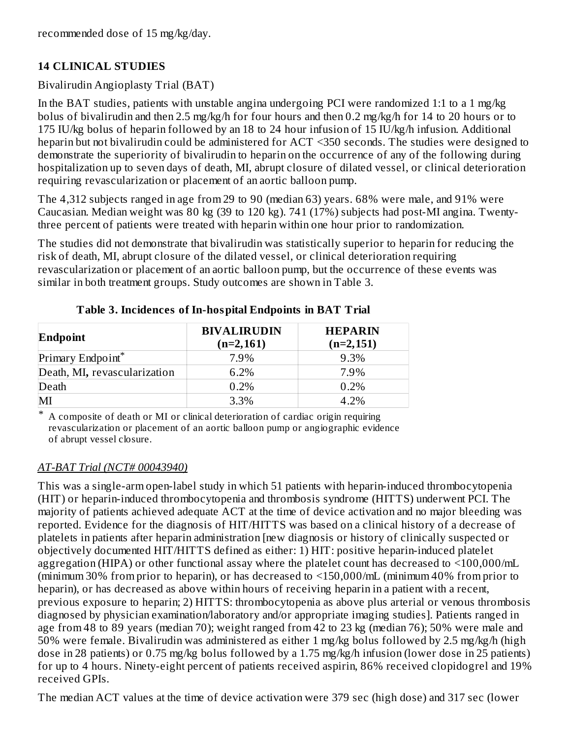## **14 CLINICAL STUDIES**

## Bivalirudin Angioplasty Trial (BAT)

In the BAT studies, patients with unstable angina undergoing PCI were randomized 1:1 to a 1 mg/kg bolus of bivalirudin and then 2.5 mg/kg/h for four hours and then 0.2 mg/kg/h for 14 to 20 hours or to 175 IU/kg bolus of heparin followed by an 18 to 24 hour infusion of 15 IU/kg/h infusion. Additional heparin but not bivalirudin could be administered for ACT <350 seconds. The studies were designed to demonstrate the superiority of bivalirudin to heparin on the occurrence of any of the following during hospitalization up to seven days of death, MI, abrupt closure of dilated vessel, or clinical deterioration requiring revascularization or placement of an aortic balloon pump.

The 4,312 subjects ranged in age from 29 to 90 (median 63) years. 68% were male, and 91% were Caucasian. Median weight was 80 kg (39 to 120 kg). 741 (17%) subjects had post-MI angina. Twentythree percent of patients were treated with heparin within one hour prior to randomization.

The studies did not demonstrate that bivalirudin was statistically superior to heparin for reducing the risk of death, MI, abrupt closure of the dilated vessel, or clinical deterioration requiring revascularization or placement of an aortic balloon pump, but the occurrence of these events was similar in both treatment groups. Study outcomes are shown in Table 3.

| Endpoint                     | <b>BIVALIRUDIN</b><br>$(n=2,161)$ | <b>HEPARIN</b><br>$(n=2,151)$ |  |
|------------------------------|-----------------------------------|-------------------------------|--|
| Primary Endpoint*            | 7.9%                              | 9.3%                          |  |
| Death, MI, revascularization | 6.2%                              | 7.9%                          |  |
| Death                        | 0.2%                              | 0.2%                          |  |
| MI                           | 3.3%                              | 4.2%                          |  |

**Table 3. Incidences of In-hospital Endpoints in BAT Trial**

\* A composite of death or MI or clinical deterioration of cardiac origin requiring revascularization or placement of an aortic balloon pump or angiographic evidence of abrupt vessel closure.

## *AT-BAT Trial (NCT# 00043940)*

This was a single-arm open-label study in which 51 patients with heparin-induced thrombocytopenia (HIT) or heparin-induced thrombocytopenia and thrombosis syndrome (HITTS) underwent PCI. The majority of patients achieved adequate ACT at the time of device activation and no major bleeding was reported. Evidence for the diagnosis of HIT/HITTS was based on a clinical history of a decrease of platelets in patients after heparin administration [new diagnosis or history of clinically suspected or objectively documented HIT/HITTS defined as either: 1) HIT: positive heparin-induced platelet aggregation (HIPA) or other functional assay where the platelet count has decreased to <100,000/mL (minimum 30% from prior to heparin), or has decreased to <150,000/mL (minimum 40% from prior to heparin), or has decreased as above within hours of receiving heparin in a patient with a recent, previous exposure to heparin; 2) HITTS: thrombocytopenia as above plus arterial or venous thrombosis diagnosed by physician examination/laboratory and/or appropriate imaging studies]. Patients ranged in age from 48 to 89 years (median 70); weight ranged from 42 to 23 kg (median 76); 50% were male and 50% were female. Bivalirudin was administered as either 1 mg/kg bolus followed by 2.5 mg/kg/h (high dose in 28 patients) or 0.75 mg/kg bolus followed by a 1.75 mg/kg/h infusion (lower dose in 25 patients) for up to 4 hours. Ninety-eight percent of patients received aspirin, 86% received clopidogrel and 19% received GPIs.

The median ACT values at the time of device activation were 379 sec (high dose) and 317 sec (lower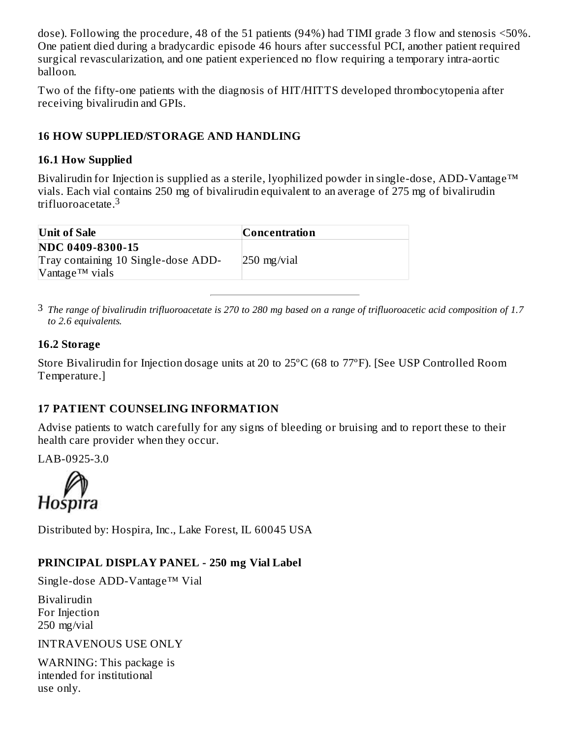dose). Following the procedure, 48 of the 51 patients (94%) had TIMI grade 3 flow and stenosis <50%. One patient died during a bradycardic episode 46 hours after successful PCI, another patient required surgical revascularization, and one patient experienced no flow requiring a temporary intra-aortic balloon.

Two of the fifty-one patients with the diagnosis of HIT/HITTS developed thrombocytopenia after receiving bivalirudin and GPIs.

## **16 HOW SUPPLIED/STORAGE AND HANDLING**

#### **16.1 How Supplied**

Bivalirudin for Injection is supplied as a sterile, lyophilized powder in single-dose, ADD-Vantage™ vials. Each vial contains 250 mg of bivalirudin equivalent to an average of 275 mg of bivalirudin trifluoroacetate. 3

| Unit of Sale                        | <b>Concentration</b> |
|-------------------------------------|----------------------|
| <b>NDC 0409-8300-15</b>             |                      |
| Tray containing 10 Single-dose ADD- | $250$ mg/vial        |
| $V$ antage <sup>TM</sup> vials      |                      |

 $^3$  The range of bivalirudin trifluoroacetate is 270 to 280 mg based on a range of trifluoroacetic acid composition of 1.7 *to 2.6 equivalents.*

#### **16.2 Storage**

Store Bivalirudin for Injection dosage units at 20 to 25ºC (68 to 77ºF). [See USP Controlled Room Temperature.]

## **17 PATIENT COUNSELING INFORMATION**

Advise patients to watch carefully for any signs of bleeding or bruising and to report these to their health care provider when they occur.

LAB-0925-3.0

Hospira

Distributed by: Hospira, Inc., Lake Forest, IL 60045 USA

## **PRINCIPAL DISPLAY PANEL - 250 mg Vial Label**

Single-dose ADD-Vantage™ Vial

Bivalirudin For Injection 250 mg/vial

INTRAVENOUS USE ONLY

WARNING: This package is intended for institutional use only.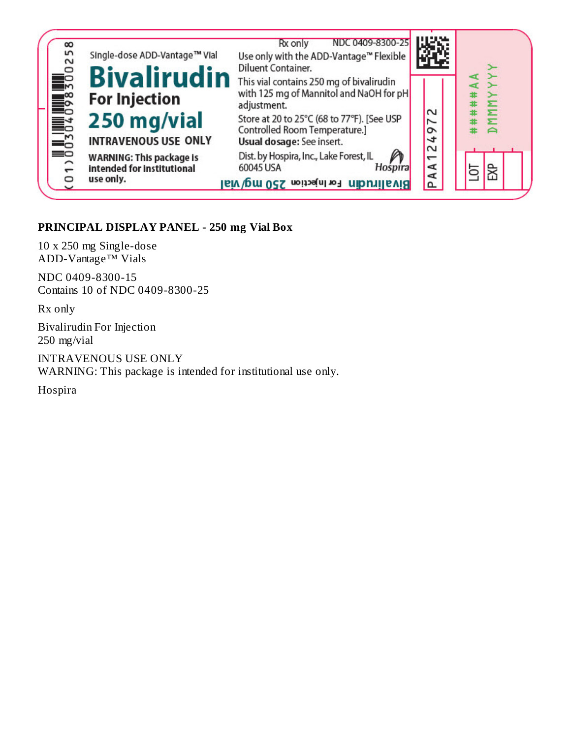

#### **PRINCIPAL DISPLAY PANEL - 250 mg Vial Box**

10 x 250 mg Single-dose ADD-Vantage™ Vials

NDC 0409-8300-15 Contains 10 of NDC 0409-8300-25

Rx only

Bivalirudin For Injection 250 mg/vial

INTRAVENOUS USE ONLY WARNING: This package is intended for institutional use only.

Hospira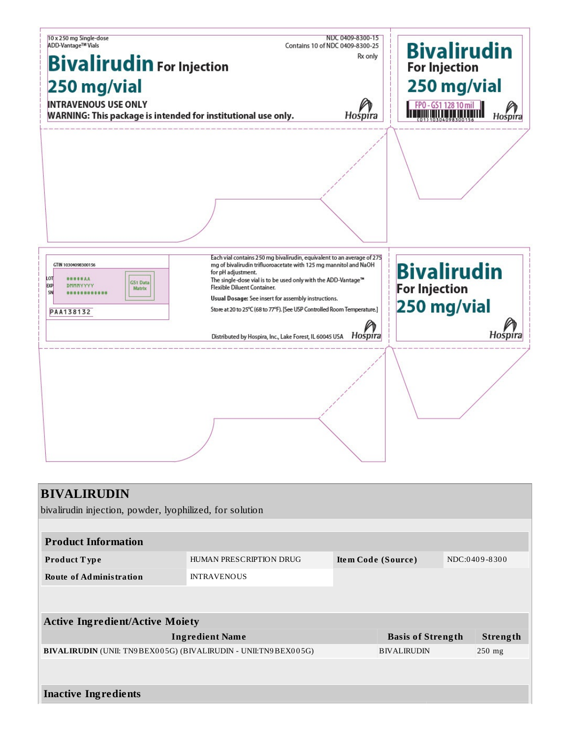| 10 x 250 mg Single-dose<br><b>ADD-Vantage™ Vials</b>                                                                   | Contains 10 of NDC 0409-8300-25                                                                                                                                                                                                                                                                                                                                                                                                                                | NDC 0409-8300-15 | <b>Bivalirudin</b>                                        |         |
|------------------------------------------------------------------------------------------------------------------------|----------------------------------------------------------------------------------------------------------------------------------------------------------------------------------------------------------------------------------------------------------------------------------------------------------------------------------------------------------------------------------------------------------------------------------------------------------------|------------------|-----------------------------------------------------------|---------|
| <b>Bivalirudin</b> For Injection                                                                                       | Rx only                                                                                                                                                                                                                                                                                                                                                                                                                                                        |                  |                                                           |         |
|                                                                                                                        | <b>For Injection</b>                                                                                                                                                                                                                                                                                                                                                                                                                                           |                  |                                                           |         |
| 250 mg/vial                                                                                                            |                                                                                                                                                                                                                                                                                                                                                                                                                                                                | 250 mg/vial      |                                                           |         |
| <b>INTRAVENOUS USE ONLY</b><br>WARNING: This package is intended for institutional use only.                           |                                                                                                                                                                                                                                                                                                                                                                                                                                                                | Hospira          | FPO-GS1 128 10 mil                                        | Hospira |
|                                                                                                                        |                                                                                                                                                                                                                                                                                                                                                                                                                                                                |                  |                                                           |         |
| GTIN 10304098300156<br>LOT<br><b>#####AA</b><br><b>GS1 Data</b><br><b>EXP</b><br>DMMNYYYY<br>Matrix<br>SN<br>PAA138132 | Each vial contains 250 mg bivalirudin, equivalent to an average of 275<br>mg of bivalirudin trifluoroacetate with 125 mg mannitol and NaOH<br>for pH adjustment.<br>The single-dose vial is to be used only with the ADD-Vantage™<br>Flexible Diluent Container.<br>Usual Dosage: See insert for assembly instructions.<br>Store at 20 to 25°C (68 to 77°F). [See USP Controlled Room Temperature.]<br>Distributed by Hospira, Inc., Lake Forest, IL 60045 USA | Hospira          | <b>Bivalirudin</b><br><b>For Injection</b><br>250 mg/vial | Hospira |
|                                                                                                                        |                                                                                                                                                                                                                                                                                                                                                                                                                                                                |                  |                                                           |         |
| <b>BIVALIRUDIN</b><br>bivalirudin injection, powder, lyophilized, for solution                                         |                                                                                                                                                                                                                                                                                                                                                                                                                                                                |                  |                                                           |         |
|                                                                                                                        |                                                                                                                                                                                                                                                                                                                                                                                                                                                                |                  |                                                           |         |
| <b>Product Information</b>                                                                                             | HUMAN PRESCRIPTION DRUG                                                                                                                                                                                                                                                                                                                                                                                                                                        |                  |                                                           |         |
| Product Type                                                                                                           | Item Code (Source)                                                                                                                                                                                                                                                                                                                                                                                                                                             |                  | NDC:0409-8300                                             |         |
| <b>Route of Administration</b>                                                                                         | <b>INTRAVENOUS</b>                                                                                                                                                                                                                                                                                                                                                                                                                                             |                  |                                                           |         |
| <b>Active Ingredient/Active Moiety</b>                                                                                 |                                                                                                                                                                                                                                                                                                                                                                                                                                                                |                  |                                                           |         |
| <b>Ingredient Name</b><br><b>Basis of Strength</b><br>Strength                                                         |                                                                                                                                                                                                                                                                                                                                                                                                                                                                |                  |                                                           |         |
| BIVALIRUDIN (UNII: TN9BEX005G) (BIVALIRUDIN - UNII:TN9BEX005G)                                                         |                                                                                                                                                                                                                                                                                                                                                                                                                                                                |                  | <b>BIVALIRUDIN</b>                                        | 250 mg  |
|                                                                                                                        |                                                                                                                                                                                                                                                                                                                                                                                                                                                                |                  |                                                           |         |

|  |  | <b>Inactive Ingredients</b> |
|--|--|-----------------------------|
|--|--|-----------------------------|